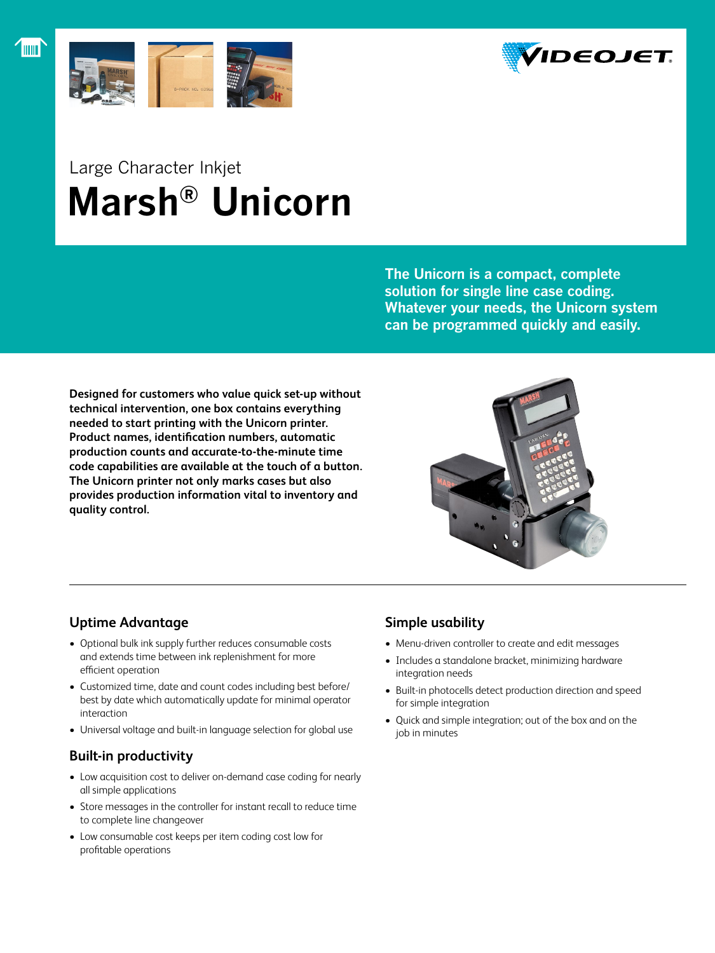



## Large Character Inkjet  **Marsh® Unicorn**

**The Unicorn is a compact, complete solution for single line case coding. Whatever your needs, the Unicorn system can be programmed quickly and easily.**

**Designed for customers who value quick set-up without technical intervention, one box contains everything needed to start printing with the Unicorn printer. Product names, identification numbers, automatic production counts and accurate-to-the-minute time code capabilities are available at the touch of a button. The Unicorn printer not only marks cases but also provides production information vital to inventory and quality control.**



## **Uptime Advantage**

- Optional bulk ink supply further reduces consumable costs and extends time between ink replenishment for more efficient operation
- Customized time, date and count codes including best before/ best by date which automatically update for minimal operator interaction
- Universal voltage and built-in language selection for global use

## **Built-in productivity**

- Low acquisition cost to deliver on-demand case coding for nearly all simple applications
- Store messages in the controller for instant recall to reduce time to complete line changeover
- • Low consumable cost keeps per item coding cost low for profitable operations

## **Simple usability**

- Menu-driven controller to create and edit messages
- Includes a standalone bracket, minimizing hardware integration needs
- • Built-in photocells detect production direction and speed for simple integration
- • Quick and simple integration; out of the box and on the job in minutes